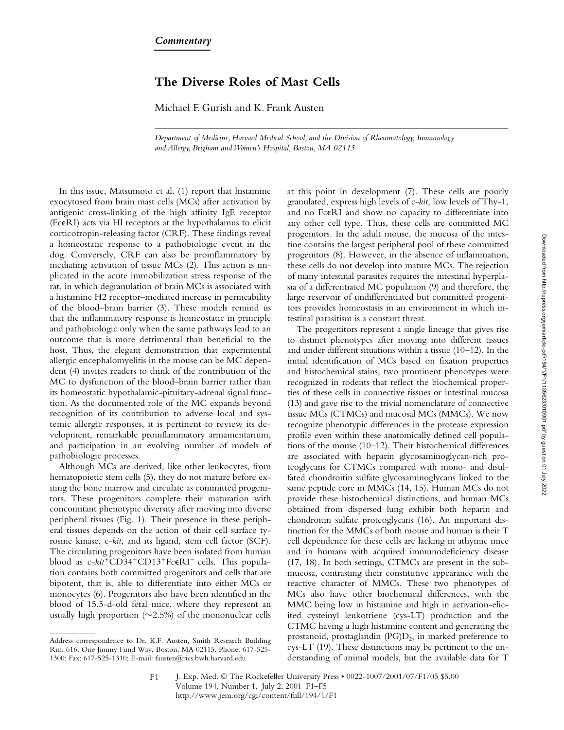## **The Diverse Roles of Mast Cells**

Michael F. Gurish and K. Frank Austen

*Department of Medicine, Harvard Medical School, and the Division of Rheumatology, Immunology and Allergy, Brigham and Women's Hospital, Boston, MA 02115*

In this issue, Matsumoto et al. (1) report that histamine exocytosed from brain mast cells (MCs) after activation by antigenic cross-linking of the high affinity IgE receptor (Fc $\epsilon$ RI) acts via Hl receptors at the hypothalamus to elicit corticotropin-releasing factor (CRF). These findings reveal a homeostatic response to a pathobiologic event in the dog. Conversely, CRF can also be proinflammatory by mediating activation of tissue MCs (2). This action is implicated in the acute immobilization stress response of the rat, in which degranulation of brain MCs is associated with a histamine H2 receptor–mediated increase in permeability of the blood–brain barrier (3). These models remind us that the inflammatory response is homeostatic in principle and pathobiologic only when the same pathways lead to an outcome that is more detrimental than beneficial to the host. Thus, the elegant demonstration that experimental allergic encephalomyelitis in the mouse can be MC dependent (4) invites readers to think of the contribution of the MC to dysfunction of the blood–brain barrier rather than its homeostatic hypothalamic-pituitary-adrenal signal function. As the documented role of the MC expands beyond recognition of its contribution to adverse local and systemic allergic responses, it is pertinent to review its development, remarkable proinflammatory armamentarium, and participation in an evolving number of models of pathobiologic processes.

Although MCs are derived, like other leukocytes, from hematopoietic stem cells (5), they do not mature before exiting the bone marrow and circulate as committed progenitors. These progenitors complete their maturation with concomitant phenotypic diversity after moving into diverse peripheral tissues (Fig. 1). Their presence in these peripheral tissues depends on the action of their cell surface tyrosine kinase, c-*kit*, and its ligand, stem cell factor (SCF). The circulating progenitors have been isolated from human blood as c-kit<sup>+</sup>CD34<sup>+</sup>CD13<sup>+</sup>FceRI<sup>-</sup> cells. This population contains both committed progenitors and cells that are bipotent, that is, able to differentiate into either MCs or monocytes (6). Progenitors also have been identified in the blood of 15.5-d-old fetal mice, where they represent an usually high proportion  $(\sim 2.5\%)$  of the mononuclear cells

at this point in development (7). These cells are poorly granulated, express high levels of c-*kit,* low levels of Thy-1, and no FceRI and show no capacity to differentiate into any other cell type. Thus, these cells are committed MC progenitors. In the adult mouse, the mucosa of the intestine contains the largest peripheral pool of these committed progenitors (8). However, in the absence of inflammation, these cells do not develop into mature MCs. The rejection of many intestinal parasites requires the intestinal hyperplasia of a differentiated MC population (9) and therefore, the large reservoir of undifferentiated but committed progenitors provides homeostasis in an environment in which intestinal parasitism is a constant threat.

The progenitors represent a single lineage that gives rise to distinct phenotypes after moving into different tissues and under different situations within a tissue (10–12). In the initial identification of MCs based on fixation properties and histochemical stains, two prominent phenotypes were recognized in rodents that reflect the biochemical properties of these cells in connective tissues or intestinal mucosa (13) and gave rise to the trivial nomenclature of connective tissue MCs (CTMCs) and mucosal MCs (MMCs). We now recognize phenotypic differences in the protease expression profile even within these anatomically defined cell populations of the mouse (10–12). Their histochemical differences are associated with heparin glycosaminoglycan-rich proteoglycans for CTMCs compared with mono- and disulfated chondroitin sulfate glycosaminoglycans linked to the same peptide core in MMCs (14, 15). Human MCs do not provide these histochemical distinctions, and human MCs obtained from dispersed lung exhibit both heparin and chondroitin sulfate proteoglycans (16). An important distinction for the MMCs of both mouse and human is their T cell dependence for these cells are lacking in athymic mice and in humans with acquired immunodeficiency disease (17, 18). In both settings, CTMCs are present in the submucosa, contrasting their constitutive appearance with the reactive character of MMCs. These two phenotypes of MCs also have other biochemical differences, with the MMC being low in histamine and high in activation-elicited cysteinyl leukotriene (cys-LT) production and the CTMC having a high histamine content and generating the prostanoid, prostaglandin  $(PG)D_2$ , in marked preference to cys-LT (19). These distinctions may be pertinent to the understanding of animal models, but the available data for T

Address correspondence to Dr. K.F. Austen, Smith Research Building Rm. 616, One Jimmy Fund Way, Boston, MA 02115. Phone: 617-525- 1300; Fax: 617-525-1310; E-mail: fausten@rics.bwh.harvard.edu

J. Exp. Med. © The Rockefeller University Press • 0022-1007/2001/07/F1/05 \$5.00 Volume 194, Number 1, July 2, 2001 F1–F5 http://www.jem.org/cgi/content/full/194/1/F1  $F<sub>1</sub>$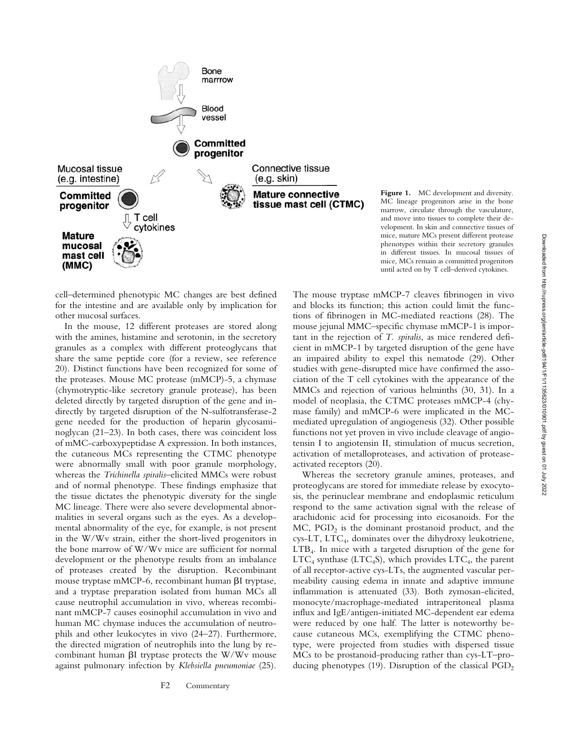

cell–determined phenotypic MC changes are best defined for the intestine and are available only by implication for other mucosal surfaces.

In the mouse, 12 different proteases are stored along with the amines, histamine and serotonin, in the secretory granules as a complex with different proteoglycans that share the same peptide core (for a review, see reference 20). Distinct functions have been recognized for some of the proteases. Mouse MC protease (mMCP)-5, a chymase (chymotryptic-like secretory granule protease), has been deleted directly by targeted disruption of the gene and indirectly by targeted disruption of the N-sulfotransferase-2 gene needed for the production of heparin glycosaminoglycan (21–23). In both cases, there was coincident loss of mMC-carboxypeptidase A expression. In both instances, the cutaneous MCs representing the CTMC phenotype were abnormally small with poor granule morphology, whereas the *Trichinella spiralis*–elicited MMCs were robust and of normal phenotype. These findings emphasize that the tissue dictates the phenotypic diversity for the single MC lineage. There were also severe developmental abnormalities in several organs such as the eyes. As a developmental abnormality of the eye, for example, is not present in the W/Wv strain, either the short-lived progenitors in the bone marrow of W/Wv mice are sufficient for normal development or the phenotype results from an imbalance of proteases created by the disruption. Recombinant mouse tryptase mMCP-6, recombinant human  $\beta I$  tryptase, and a tryptase preparation isolated from human MCs all cause neutrophil accumulation in vivo, whereas recombinant mMCP-7 causes eosinophil accumulation in vivo and human MC chymase induces the accumulation of neutrophils and other leukocytes in vivo (24–27). Furthermore, the directed migration of neutrophils into the lung by recombinant human  $\beta I$  tryptase protects the W/Wv mouse against pulmonary infection by *Klebsiella pneumoniae* (25).

The mouse tryptase mMCP-7 cleaves fibrinogen in vivo and blocks its function; this action could limit the functions of fibrinogen in MC-mediated reactions (28). The mouse jejunal MMC–specific chymase mMCP-1 is important in the rejection of *T. spiralis*, as mice rendered deficient in mMCP-1 by targeted disruption of the gene have an impaired ability to expel this nematode (29). Other studies with gene-disrupted mice have confirmed the association of the T cell cytokines with the appearance of the MMCs and rejection of various helminths (30, 31). In a model of neoplasia, the CTMC proteases mMCP-4 (chymase family) and mMCP-6 were implicated in the MCmediated upregulation of angiogenesis (32). Other possible functions not yet proven in vivo include cleavage of angiotensin I to angiotensin II, stimulation of mucus secretion, until acted on by T cell–derived cytokines.

Figure 1. MC development and diversity. MC lineage progenitors arise in the bone marrow, circulate through the vasculature, and move into tissues to complete their development. In skin and connective tissues of mice, mature MCs present different protease phenotypes within their secretory granules in different tissues. In mucosal tissues of mice, MCs remain as committed progenitors

activation of metalloproteases, and activation of protease-

activated receptors (20). Whereas the secretory granule amines, proteases, and proteoglycans are stored for immediate release by exocytosis, the perinuclear membrane and endoplasmic reticulum respond to the same activation signal with the release of arachidonic acid for processing into eicosanoids. For the  $MC$ ,  $PGD<sub>2</sub>$  is the dominant prostanoid product, and the cys-LT, LTC4, dominates over the dihydroxy leukotriene,  $LTB<sub>4</sub>$ . In mice with a targeted disruption of the gene for  $LTC_4$  synthase (LTC<sub>4</sub>S), which provides  $LTC_4$ , the parent of all receptor-active cys-LTs, the augmented vascular permeability causing edema in innate and adaptive immune inflammation is attenuated (33). Both zymosan-elicited, monocyte/macrophage-mediated intraperitoneal plasma influx and IgE/antigen-initiated MC-dependent ear edema were reduced by one half. The latter is noteworthy because cutaneous MCs, exemplifying the CTMC phenotype, were projected from studies with dispersed tissue MCs to be prostanoid-producing rather than cys-LT–producing phenotypes (19). Disruption of the classical  $PGD<sub>2</sub>$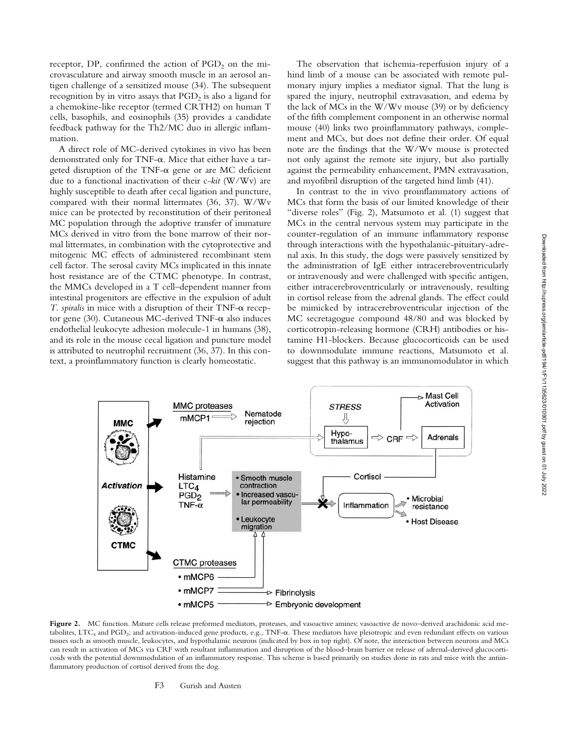receptor, DP, confirmed the action of  $PGD<sub>2</sub>$  on the microvasculature and airway smooth muscle in an aerosol antigen challenge of a sensitized mouse (34). The subsequent recognition by in vitro assays that  $PGD<sub>2</sub>$  is also a ligand for a chemokine-like receptor (termed CRTH2) on human T cells, basophils, and eosinophils (35) provides a candidate feedback pathway for the Th2/MC duo in allergic inflammation.

A direct role of MC-derived cytokines in vivo has been demonstrated only for TNF- $\alpha$ . Mice that either have a targeted disruption of the TNF- $\alpha$  gene or are MC deficient due to a functional inactivation of their c-*kit* (W/Wv) are highly susceptible to death after cecal ligation and puncture, compared with their normal littermates (36, 37). W/Wv mice can be protected by reconstitution of their peritoneal MC population through the adoptive transfer of immature MCs derived in vitro from the bone marrow of their normal littermates, in combination with the cytoprotective and mitogenic MC effects of administered recombinant stem cell factor. The serosal cavity MCs implicated in this innate host resistance are of the CTMC phenotype. In contrast, the MMCs developed in a T cell–dependent manner from intestinal progenitors are effective in the expulsion of adult  $T.$  spiralis in mice with a disruption of their  $TNF-\alpha$  receptor gene (30). Cutaneous MC-derived TNF- $\alpha$  also induces endothelial leukocyte adhesion molecule-1 in humans (38), and its role in the mouse cecal ligation and puncture model is attributed to neutrophil recruitment (36, 37). In this context, a proinflammatory function is clearly homeostatic.

The observation that ischemia-reperfusion injury of a hind limb of a mouse can be associated with remote pulmonary injury implies a mediator signal. That the lung is spared the injury, neutrophil extravasation, and edema by the lack of MCs in the W/Wv mouse (39) or by deficiency of the fifth complement component in an otherwise normal mouse (40) links two proinflammatory pathways, complement and MCs, but does not define their order. Of equal note are the findings that the W/Wv mouse is protected not only against the remote site injury, but also partially against the permeability enhancement, PMN extravasation, and myofibril disruption of the targeted hind limb (41).

In contrast to the in vivo proinflammatory actions of MCs that form the basis of our limited knowledge of their "diverse roles" (Fig. 2), Matsumoto et al. (1) suggest that MCs in the central nervous system may participate in the counter-regulation of an immune inflammatory response through interactions with the hypothalamic-pituitary-adrenal axis. In this study, the dogs were passively sensitized by the administration of IgE either intracerebroventricularly or intravenously and were challenged with specific antigen, either intracerebroventricularly or intravenously, resulting in cortisol release from the adrenal glands. The effect could be mimicked by intracerebroventricular injection of the MC secretagogue compound 48/80 and was blocked by corticotropin-releasing hormone (CRH) antibodies or histamine H1-blockers. Because glucocorticoids can be used to downmodulate immune reactions, Matsumoto et al. suggest that this pathway is an immunomodulator in which



Figure 2. MC function. Mature cells release preformed mediators, proteases, and vasoactive amines; vasoactive de novo-derived arachidonic acid metabolites, LTC<sub>4</sub> and PGD<sub>2</sub>; and activation-induced gene products, e.g., TNF- $\alpha$ . These mediators have pleiotropic and even redundant effects on various tissues such as smooth muscle, leukocytes, and hypothalamic neurons (indicated by box in top right). Of note, the interaction between neurons and MCs can result in activation of MCs via CRF with resultant inflammation and disruption of the blood–brain barrier or release of adrenal-derived glucocorticoids with the potential downmodulation of an inflammatory response. This scheme is based primarily on studies done in rats and mice with the antiinflammatory production of cortisol derived from the dog.

## F3 Gurish and Austen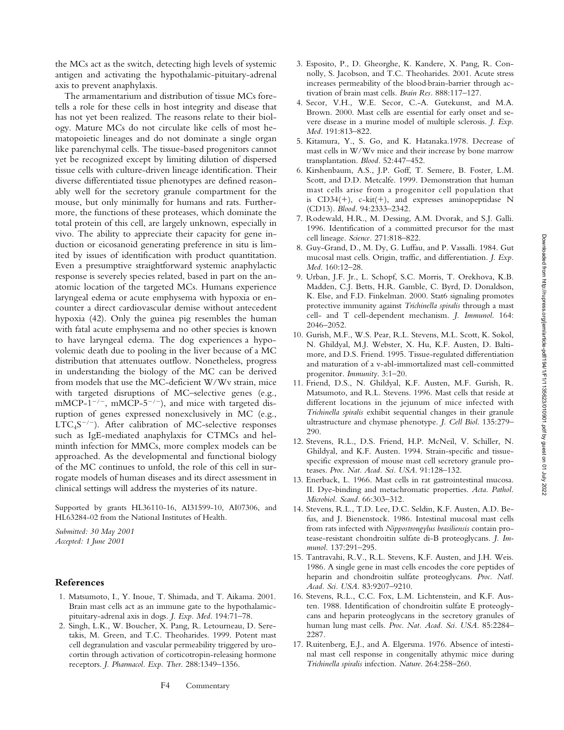the MCs act as the switch, detecting high levels of systemic antigen and activating the hypothalamic-pituitary-adrenal axis to prevent anaphylaxis.

The armamentarium and distribution of tissue MCs foretells a role for these cells in host integrity and disease that has not yet been realized. The reasons relate to their biology. Mature MCs do not circulate like cells of most hematopoietic lineages and do not dominate a single organ like parenchymal cells. The tissue-based progenitors cannot yet be recognized except by limiting dilution of dispersed tissue cells with culture-driven lineage identification. Their diverse differentiated tissue phenotypes are defined reasonably well for the secretory granule compartment for the mouse, but only minimally for humans and rats. Furthermore, the functions of these proteases, which dominate the total protein of this cell, are largely unknown, especially in vivo. The ability to appreciate their capacity for gene induction or eicosanoid generating preference in situ is limited by issues of identification with product quantitation. Even a presumptive straightforward systemic anaphylactic response is severely species related, based in part on the anatomic location of the targeted MCs. Humans experience laryngeal edema or acute emphysema with hypoxia or encounter a direct cardiovascular demise without antecedent hypoxia (42). Only the guinea pig resembles the human with fatal acute emphysema and no other species is known to have laryngeal edema. The dog experiences a hypovolemic death due to pooling in the liver because of a MC distribution that attenuates outflow. Nonetheless, progress in understanding the biology of the MC can be derived from models that use the MC-deficient W/Wv strain, mice with targeted disruptions of MC–selective genes (e.g.,  $mMCP-1^{-/-}$ ,  $mMCP-5^{-/-}$ ), and mice with targeted disruption of genes expressed nonexclusively in MC (e.g.,  $LTC<sub>4</sub>S<sup>-/-</sup>$ ). After calibration of MC-selective responses such as IgE-mediated anaphylaxis for CTMCs and helminth infection for MMCs, more complex models can be approached. As the developmental and functional biology of the MC continues to unfold, the role of this cell in surrogate models of human diseases and its direct assessment in clinical settings will address the mysteries of its nature.

Supported by grants HL36110-16, AI31599-10, AI07306, and HL63284-02 from the National Institutes of Health.

*Submitted: 30 May 2001 Accepted: 1 June 2001*

## **References**

- 1. Matsumoto, I., Y. Inoue, T. Shimada, and T. Aikama. 2001. Brain mast cells act as an immune gate to the hypothalamicpituitary-adrenal axis in dogs. *J. Exp. Med*. 194:71–78.
- 2. Singh, L.K., W. Boucher, X. Pang, R. Letourneau, D. Seretakis, M. Green, and T.C. Theoharides. 1999. Potent mast cell degranulation and vascular permeability triggered by urocortin through activation of corticotropin-releasing hormone receptors. *J. Pharmacol. Exp. Ther.* 288:1349–1356.
- 3. Esposito, P., D. Gheorghe, K. Kandere, X. Pang, R. Connolly, S. Jacobson, and T.C. Theoharides. 2001. Acute stress increases permeability of the blood-brain-barrier through activation of brain mast cells. *Brain Res.* 888:117–127.
- 4. Secor, V.H., W.E. Secor, C.-A. Gutekunst, and M.A. Brown. 2000. Mast cells are essential for early onset and severe disease in a murine model of multiple sclerosis. *J. Exp. Med.* 191:813–822.
- 5. Kitamura, Y., S. Go, and K. Hatanaka.1978. Decrease of mast cells in W/Wv mice and their increase by bone marrow transplantation. *Blood.* 52:447–452.
- 6. Kirshenbaum, A.S., J.P. Goff, T. Semere, B. Foster, L.M. Scott, and D.D. Metcalfe. 1999. Demonstration that human mast cells arise from a progenitor cell population that is  $CD34(+)$ , c-kit(+), and expresses aminopeptidase N (CD13). *Blood.* 94:2333–2342.
- 7. Rodewald, H.R., M. Dessing, A.M. Dvorak, and S.J. Galli. 1996. Identification of a committed precursor for the mast cell lineage. *Science.* 271:818–822.
- 8. Guy-Grand, D., M. Dy, G. Luffau, and P. Vassalli. 1984. Gut mucosal mast cells. Origin, traffic, and differentiation. *J. Exp. Med*. 160:12–28.
- 9. Urban, J.F. Jr., L. Schopf, S.C. Morris, T. Orekhova, K.B. Madden, C.J. Betts, H.R. Gamble, C. Byrd, D. Donaldson, K. Else, and F.D. Finkelman. 2000. Stat6 signaling promotes protective immunity against *Trichinella spiralis* through a mast cell- and T cell-dependent mechanism. *J. Immunol*. 164: 2046–2052.
- 10. Gurish, M.F., W.S. Pear, R.L. Stevens, M.L. Scott, K. Sokol, N. Ghildyal, M.J. Webster, X. Hu, K.F. Austen, D. Baltimore, and D.S. Friend. 1995. Tissue-regulated differentiation and maturation of a v-abl-immortalized mast cell-committed progenitor. *Immunity*. 3:1–20.
- 11. Friend, D.S., N. Ghildyal, K.F. Austen, M.F. Gurish, R. Matsumoto, and R.L. Stevens. 1996. Mast cells that reside at different locations in the jejunum of mice infected with *Trichinella spiralis* exhibit sequential changes in their granule ultrastructure and chymase phenotype. *J. Cell Biol*. 135:279– 290.
- 12. Stevens, R.L., D.S. Friend, H.P. McNeil, V. Schiller, N. Ghildyal, and K.F. Austen. 1994. Strain-specific and tissuespecific expression of mouse mast cell secretory granule proteases. *Proc. Nat. Acad. Sci. USA*. 91:128–132.
- 13. Enerback, L. 1966. Mast cells in rat gastrointestinal mucosa. II. Dye-binding and metachromatic properties. *Acta. Pathol. Microbiol. Scand*. 66:303–312.
- 14. Stevens, R.L., T.D. Lee, D.C. Seldin, K.F. Austen, A.D. Befus, and J. Bienenstock. 1986. Intestinal mucosal mast cells from rats infected with *Nippostrongylus brasiliensis* contain protease-resistant chondroitin sulfate di-B proteoglycans. *J. Immunol.* 137:291–295.
- 15. Tantravahi, R.V., R.L. Stevens, K.F. Austen, and J.H. Weis. 1986. A single gene in mast cells encodes the core peptides of heparin and chondroitin sulfate proteoglycans. *Proc. Natl. Acad. Sci. USA.* 83:9207–9210.
- 16. Stevens, R.L., C.C. Fox, L.M. Lichtenstein, and K.F. Austen. 1988. Identification of chondroitin sulfate E proteoglycans and heparin proteoglycans in the secretory granules of human lung mast cells. *Proc. Nat. Acad. Sci. USA*. 85:2284– 2287.
- 17. Ruitenberg, E.J., and A. Elgersma. 1976. Absence of intestinal mast cell response in congenitally athymic mice during *Trichinella spiralis* infection. *Nature*. 264:258–260.